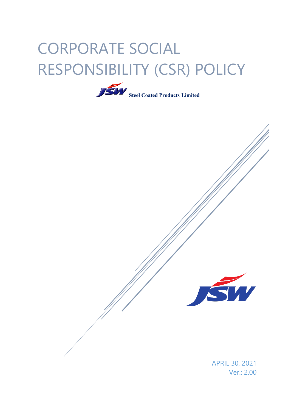# CORPORATE SOCIAL RESPONSIBILITY (CSR) POLICY





APRIL 30, 2021 Ver.: 2.00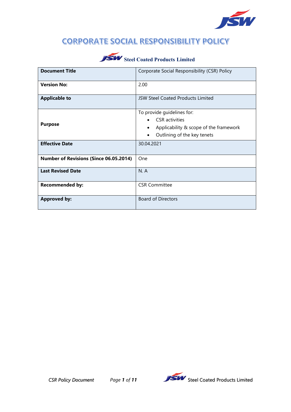

### **CORPORATE SOCIAL RESPONSIBILITY POLICY**

| <b>Document Title</b>                         | Corporate Social Responsibility (CSR) Policy                                                                                 |
|-----------------------------------------------|------------------------------------------------------------------------------------------------------------------------------|
| <b>Version No:</b>                            | 2.00                                                                                                                         |
| <b>Applicable to</b>                          | JSW Steel Coated Products Limited                                                                                            |
| <b>Purpose</b>                                | To provide guidelines for:<br><b>CSR</b> activities<br>Applicability & scope of the framework<br>Outlining of the key tenets |
| <b>Effective Date</b>                         | 30.04.2021                                                                                                                   |
| <b>Number of Revisions (Since 06.05.2014)</b> | One                                                                                                                          |
| <b>Last Revised Date</b>                      | N.A                                                                                                                          |
| <b>Recommended by:</b>                        | <b>CSR Committee</b>                                                                                                         |
| <b>Approved by:</b>                           | <b>Board of Directors</b>                                                                                                    |

# **SW** Steel Coated Products Limited

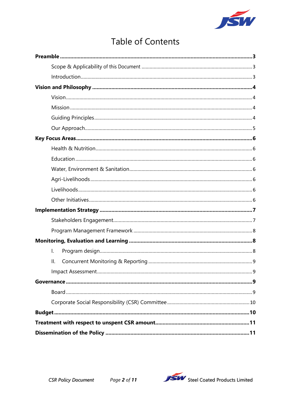

# **Table of Contents**

| I. |
|----|
| Ш. |
|    |
|    |
|    |
|    |
|    |
|    |
|    |

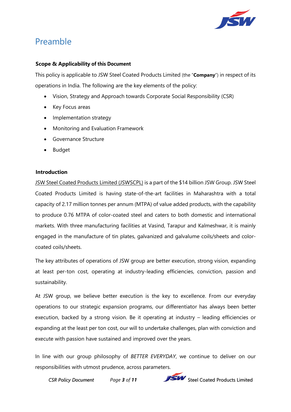

# <span id="page-3-0"></span>Preamble

#### <span id="page-3-1"></span>**Scope & Applicability of this Document**

This policy is applicable to JSW Steel Coated Products Limited (the "**Company**") in respect of its operations in India. The following are the key elements of the policy:

- Vision, Strategy and Approach towards Corporate Social Responsibility (CSR)
- Key Focus areas
- Implementation strategy
- Monitoring and Evaluation Framework
- Governance Structure
- Budget

#### <span id="page-3-2"></span>**Introduction**

JSW Steel Coated Products Limited (JSWSCPL) is a part of the \$14 billion JSW Group. JSW Steel Coated Products Limited is having state-of-the-art facilities in Maharashtra with a total capacity of 2.17 million tonnes per annum (MTPA) of value added products, with the capability to produce 0.76 MTPA of color-coated steel and caters to both domestic and international markets. With three manufacturing facilities at Vasind, Tarapur and Kalmeshwar, it is mainly engaged in the manufacture of tin plates, galvanized and galvalume coils/sheets and colorcoated coils/sheets.

The key attributes of operations of JSW group are better execution, strong vision, expanding at least per-ton cost, operating at industry-leading efficiencies, conviction, passion and sustainability.

At JSW group, we believe better execution is the key to excellence. From our everyday operations to our strategic expansion programs, our differentiator has always been better execution, backed by a strong vision. Be it operating at industry – leading efficiencies or expanding at the least per ton cost, our will to undertake challenges, plan with conviction and execute with passion have sustained and improved over the years.

In line with our group philosophy of *BETTER EVERYDAY*, we continue to deliver on our responsibilities with utmost prudence, across parameters.

**CSR Policy Document** *Page 3 of 11* **STAM** Steel Coated Products Limited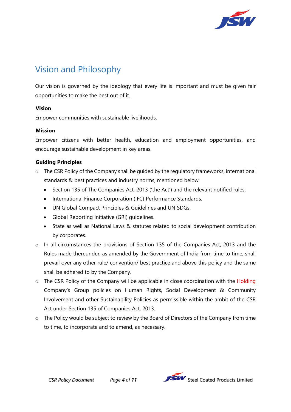

# <span id="page-4-0"></span>Vision and Philosophy

Our vision is governed by the ideology that every life is important and must be given fair opportunities to make the best out of it.

#### <span id="page-4-1"></span>**Vision**

Empower communities with sustainable livelihoods.

#### <span id="page-4-2"></span>**Mission**

Empower citizens with better health, education and employment opportunities, and encourage sustainable development in key areas.

#### <span id="page-4-3"></span>**Guiding Principles**

- o The CSR Policy of the Company shall be guided by the regulatory frameworks, international standards & best practices and industry norms, mentioned below:
	- Section 135 of The Companies Act, 2013 ('the Act') and the relevant notified rules.
	- International Finance Corporation (IFC) Performance Standards.
	- UN Global Compact Principles & Guidelines and UN SDGs.
	- Global Reporting Initiative (GRI) guidelines.
	- State as well as National Laws & statutes related to social development contribution by corporates.
- o In all circumstances the provisions of Section 135 of the Companies Act, 2013 and the Rules made thereunder, as amended by the Government of India from time to time, shall prevail over any other rule/ convention/ best practice and above this policy and the same shall be adhered to by the Company.
- $\circ$  The CSR Policy of the Company will be applicable in close coordination with the Holding Company's Group policies on Human Rights, Social Development & Community Involvement and other Sustainability Policies as permissible within the ambit of the CSR Act under Section 135 of Companies Act, 2013.
- o The Policy would be subject to review by the Board of Directors of the Company from time to time, to incorporate and to amend, as necessary.

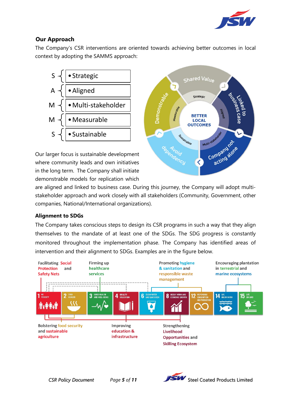

#### <span id="page-5-0"></span>**Our Approach**

The Company's CSR interventions are oriented towards achieving better outcomes in local context by adopting the SAMMS approach:



Our larger focus is sustainable development where community leads and own initiatives in the long term. The Company shall initiate demonstrable models for replication which



are aligned and linked to business case. During this journey, the Company will adopt multistakeholder approach and work closely with all stakeholders (Community, Government, other companies, National/International organizations).

#### **Alignment to SDGs**

The Company takes conscious steps to design its CSR programs in such a way that they align themselves to the mandate of at least one of the SDGs. The SDG progress is constantly monitored throughout the implementation phase. The Company has identified areas of intervention and their alignment to SDGs. Examples are in the figure below.



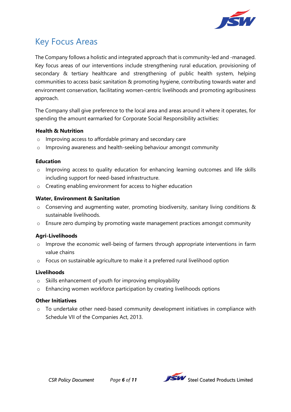

# <span id="page-6-0"></span>Key Focus Areas

The Company follows a holistic and integrated approach that is community-led and -managed. Key focus areas of our interventions include strengthening rural education, provisioning of secondary & tertiary healthcare and strengthening of public health system, helping communities to access basic sanitation & promoting hygiene, contributing towards water and environment conservation, facilitating women-centric livelihoods and promoting agribusiness approach.

The Company shall give preference to the local area and areas around it where it operates, for spending the amount earmarked for Corporate Social Responsibility activities:

#### <span id="page-6-1"></span>**Health & Nutrition**

- o Improving access to affordable primary and secondary care
- o Improving awareness and health-seeking behaviour amongst community

#### <span id="page-6-2"></span>**Education**

- o Improving access to quality education for enhancing learning outcomes and life skills including support for need-based infrastructure.
- o Creating enabling environment for access to higher education

#### <span id="page-6-3"></span>**Water, Environment & Sanitation**

- o Conserving and augmenting water, promoting biodiversity, sanitary living conditions & sustainable livelihoods.
- $\circ$  Ensure zero dumping by promoting waste management practices amongst community

#### <span id="page-6-4"></span>**Agri-Livelihoods**

- o Improve the economic well-being of farmers through appropriate interventions in farm value chains
- o Focus on sustainable agriculture to make it a preferred rural livelihood option

#### <span id="page-6-5"></span>**Livelihoods**

- o Skills enhancement of youth for improving employability
- o Enhancing women workforce participation by creating livelihoods options

#### <span id="page-6-6"></span>**Other Initiatives**

 $\circ$  To undertake other need-based community development initiatives in compliance with Schedule VII of the Companies Act, 2013.

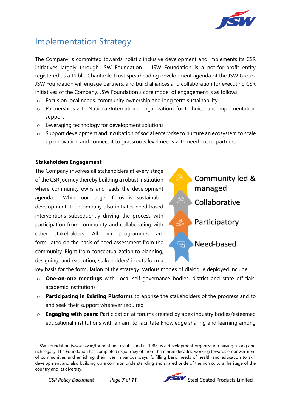

# <span id="page-7-0"></span>Implementation Strategy

The Company is committed towards holistic inclusive development and implements its CSR initiatives largely through JSW Foundation<sup>[1](#page-7-2)</sup>. JSW Foundation is a not-for-profit entity registered as a Public Charitable Trust spearheading development agenda of the JSW Group. JSW Foundation will engage partners, and build alliances and collaboration for executing CSR initiatives of the Company. JSW Foundation's core model of engagement is as follows:

- $\circ$  Focus on local needs, community ownership and long term sustainability.
- o Partnerships with National/International organizations for technical and implementation support
- o Leveraging technology for development solutions
- $\circ$  Support development and incubation of social enterprise to nurture an ecosystem to scale up innovation and connect it to grassroots level needs with need based partners

#### <span id="page-7-1"></span>**Stakeholders Engagement**

The Company involves all stakeholders at every stage of the CSR journey thereby building a robust institution where community owns and leads the development agenda. While our larger focus is sustainable development, the Company also initiates need based interventions subsequently driving the process with participation from community and collaborating with other stakeholders. All our programmes are formulated on the basis of need assessment from the community. Right from conceptualization to planning, designing, and execution, stakeholders' inputs form a



key basis for the formulation of the strategy. Various modes of dialogue deployed include:

- o **One-on-one meetings** with Local self-governance bodies, district and state officials, academic institutions
- o **Participating in Existing Platforms** to apprise the stakeholders of the progress and to and seek their support wherever required
- o **Engaging with peers:** Participation at forums created by apex industry bodies/esteemed educational institutions with an aim to facilitate knowledge sharing and learning among

<u>.</u>



<span id="page-7-2"></span><sup>1</sup> JSW Foundation (www.jsw.in/foundation), established in 1988, is a development organization having a long and rich legacy. The Foundation has completed its journey of more than three decades, working towards empowerment of communities and enriching their lives in various ways, fulfilling basic needs of health and education to skill development and also building up a common understanding and shared pride of the rich cultural heritage of the country and its diversity.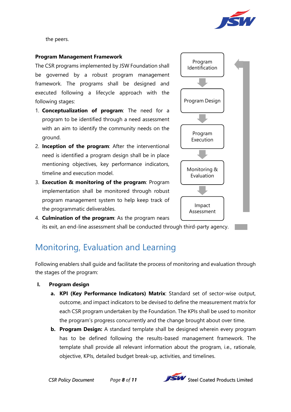

the peers.

#### <span id="page-8-0"></span>**Program Management Framework**

The CSR programs implemented by JSW Foundation shall be governed by a robust program management framework. The programs shall be designed and executed following a lifecycle approach with the following stages:

- 1. **Conceptualization of program**: The need for a program to be identified through a need assessment with an aim to identify the community needs on the ground.
- 2. **Inception of the program**: After the interventional need is identified a program design shall be in place mentioning objectives, key performance indicators, timeline and execution model.
- 3. **Execution & monitoring of the program**: Program implementation shall be monitored through robust program management system to help keep track of the programmatic deliverables.



4. **Culmination of the program**: As the program nears its exit, an end-line assessment shall be conducted through third-party agency.

# <span id="page-8-1"></span>Monitoring, Evaluation and Learning

Following enablers shall guide and facilitate the process of monitoring and evaluation through the stages of the program:

- <span id="page-8-2"></span>**I. Program design**
	- **a. KPI (Key Performance Indicators) Matrix**: Standard set of sector-wise output, outcome, and impact indicators to be devised to define the measurement matrix for each CSR program undertaken by the Foundation. The KPIs shall be used to monitor the program's progress concurrently and the change brought about over time.
	- **b. Program Design:** A standard template shall be designed wherein every program has to be defined following the results-based management framework. The template shall provide all relevant information about the program, i.e., rationale, objective, KPIs, detailed budget break-up, activities, and timelines.

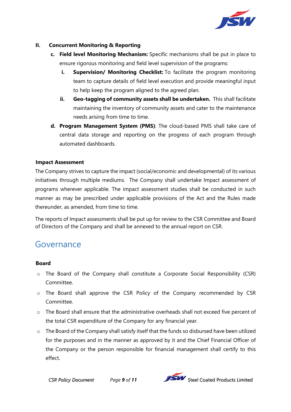

#### <span id="page-9-0"></span>**II. Concurrent Monitoring & Reporting**

- **c. Field level Monitoring Mechanism:** Specific mechanisms shall be put in place to ensure rigorous monitoring and field level supervision of the programs:
	- **i. Supervision/ Monitoring Checklist:** To facilitate the program monitoring team to capture details of field level execution and provide meaningful input to help keep the program aligned to the agreed plan.
	- **ii. Geo-tagging of community assets shall be undertaken.** This shall facilitate maintaining the inventory of community assets and cater to the maintenance needs arising from time to time.
- **d. Program Management System (PMS)**: The cloud-based PMS shall take care of central data storage and reporting on the progress of each program through automated dashboards.

#### <span id="page-9-1"></span>**Impact Assessment**

The Company strives to capture the impact (social/economic and developmental) of its various initiatives through multiple mediums. The Company shall undertake Impact assessment of programs wherever applicable. The impact assessment studies shall be conducted in such manner as may be prescribed under applicable provisions of the Act and the Rules made thereunder, as amended, from time to time.

The reports of Impact assessments shall be put up for review to the CSR Committee and Board of Directors of the Company and shall be annexed to the annual report on CSR.

### <span id="page-9-2"></span>Governance

#### <span id="page-9-3"></span>**Board**

- o The Board of the Company shall constitute a Corporate Social Responsibility (CSR) Committee.
- o The Board shall approve the CSR Policy of the Company recommended by CSR Committee.
- o The Board shall ensure that the administrative overheads shall not exceed five percent of the total CSR expenditure of the Company for any financial year.
- $\circ$  The Board of the Company shall satisfy itself that the funds so disbursed have been utilized for the purposes and in the manner as approved by it and the Chief Financial Officer of the Company or the person responsible for financial management shall certify to this effect.

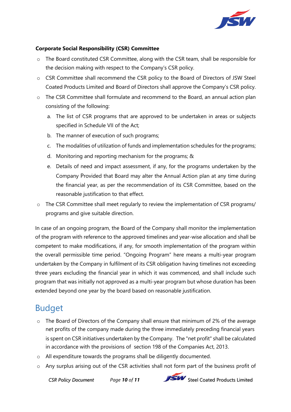

#### <span id="page-10-0"></span>**Corporate Social Responsibility (CSR) Committee**

- o The Board constituted CSR Committee, along with the CSR team, shall be responsible for the decision making with respect to the Company's CSR policy.
- o CSR Committee shall recommend the CSR policy to the Board of Directors of JSW Steel Coated Products Limited and Board of Directors shall approve the Company's CSR policy.
- o The CSR Committee shall formulate and recommend to the Board, an annual action plan consisting of the following:
	- a. The list of CSR programs that are approved to be undertaken in areas or subjects specified in Schedule VII of the Act;
	- b. The manner of execution of such programs;
	- c. The modalities of utilization of funds and implementation schedules for the programs;
	- d. Monitoring and reporting mechanism for the programs; &
	- e. Details of need and impact assessment, if any, for the programs undertaken by the Company Provided that Board may alter the Annual Action plan at any time during the financial year, as per the recommendation of its CSR Committee, based on the reasonable justification to that effect.
- o The CSR Committee shall meet regularly to review the implementation of CSR programs/ programs and give suitable direction.

In case of an ongoing program, the Board of the Company shall monitor the implementation of the program with reference to the approved timelines and year-wise allocation and shall be competent to make modifications, if any, for smooth implementation of the program within the overall permissible time period. "Ongoing Program" here means a multi-year program undertaken by the Company in fulfilment of its CSR obligation having timelines not exceeding three years excluding the financial year in which it was commenced, and shall include such program that was initially not approved as a multi-year program but whose duration has been extended beyond one year by the board based on reasonable justification.

# <span id="page-10-1"></span>Budget

- o The Board of Directors of the Company shall ensure that minimum of 2% of the average net profits of the company made during the three immediately preceding financial years is spent on CSR initiatives undertaken by the Company. The "net profit" shall be calculated in accordance with the provisions of [section 198](http://ebook.mca.gov.in/Actpagedisplay.aspx?PAGENAME=17592) of the Companies Act, 2013.
- o All expenditure towards the programs shall be diligently documented.
- o Any surplus arising out of the CSR activities shall not form part of the business profit of

*CSR Policy Document Page 10 of 11* Steel Coated Products Limited